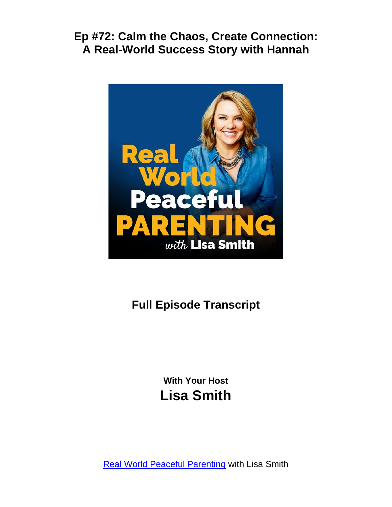

# **Full Episode Transcript**

**With Your Host Lisa Smith**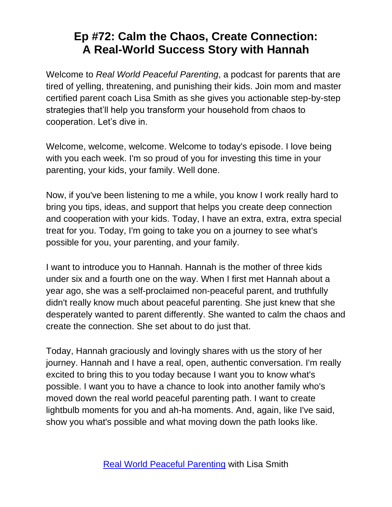Welcome to *Real World Peaceful Parenting*, a podcast for parents that are tired of yelling, threatening, and punishing their kids. Join mom and master certified parent coach Lisa Smith as she gives you actionable step-by-step strategies that'll help you transform your household from chaos to cooperation. Let's dive in.

Welcome, welcome, welcome. Welcome to today's episode. I love being with you each week. I'm so proud of you for investing this time in your parenting, your kids, your family. Well done.

Now, if you've been listening to me a while, you know I work really hard to bring you tips, ideas, and support that helps you create deep connection and cooperation with your kids. Today, I have an extra, extra, extra special treat for you. Today, I'm going to take you on a journey to see what's possible for you, your parenting, and your family.

I want to introduce you to Hannah. Hannah is the mother of three kids under six and a fourth one on the way. When I first met Hannah about a year ago, she was a self-proclaimed non-peaceful parent, and truthfully didn't really know much about peaceful parenting. She just knew that she desperately wanted to parent differently. She wanted to calm the chaos and create the connection. She set about to do just that.

Today, Hannah graciously and lovingly shares with us the story of her journey. Hannah and I have a real, open, authentic conversation. I'm really excited to bring this to you today because I want you to know what's possible. I want you to have a chance to look into another family who's moved down the real world peaceful parenting path. I want to create lightbulb moments for you and ah-ha moments. And, again, like I've said, show you what's possible and what moving down the path looks like.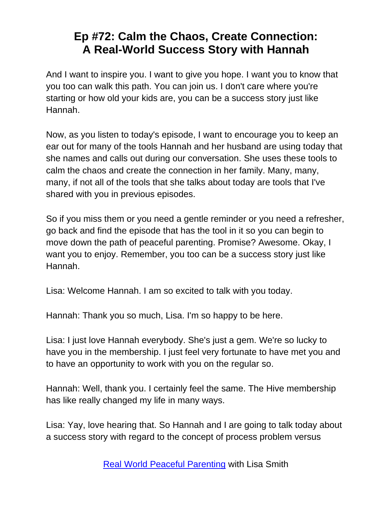And I want to inspire you. I want to give you hope. I want you to know that you too can walk this path. You can join us. I don't care where you're starting or how old your kids are, you can be a success story just like Hannah.

Now, as you listen to today's episode, I want to encourage you to keep an ear out for many of the tools Hannah and her husband are using today that she names and calls out during our conversation. She uses these tools to calm the chaos and create the connection in her family. Many, many, many, if not all of the tools that she talks about today are tools that I've shared with you in previous episodes.

So if you miss them or you need a gentle reminder or you need a refresher, go back and find the episode that has the tool in it so you can begin to move down the path of peaceful parenting. Promise? Awesome. Okay, I want you to enjoy. Remember, you too can be a success story just like Hannah.

Lisa: Welcome Hannah. I am so excited to talk with you today.

Hannah: Thank you so much, Lisa. I'm so happy to be here.

Lisa: I just love Hannah everybody. She's just a gem. We're so lucky to have you in the membership. I just feel very fortunate to have met you and to have an opportunity to work with you on the regular so.

Hannah: Well, thank you. I certainly feel the same. The Hive membership has like really changed my life in many ways.

Lisa: Yay, love hearing that. So Hannah and I are going to talk today about a success story with regard to the concept of process problem versus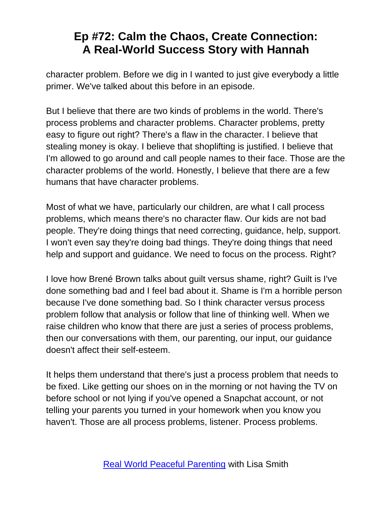character problem. Before we dig in I wanted to just give everybody a little primer. We've talked about this before in an episode.

But I believe that there are two kinds of problems in the world. There's process problems and character problems. Character problems, pretty easy to figure out right? There's a flaw in the character. I believe that stealing money is okay. I believe that shoplifting is justified. I believe that I'm allowed to go around and call people names to their face. Those are the character problems of the world. Honestly, I believe that there are a few humans that have character problems.

Most of what we have, particularly our children, are what I call process problems, which means there's no character flaw. Our kids are not bad people. They're doing things that need correcting, guidance, help, support. I won't even say they're doing bad things. They're doing things that need help and support and guidance. We need to focus on the process. Right?

I love how Brené Brown talks about guilt versus shame, right? Guilt is I've done something bad and I feel bad about it. Shame is I'm a horrible person because I've done something bad. So I think character versus process problem follow that analysis or follow that line of thinking well. When we raise children who know that there are just a series of process problems, then our conversations with them, our parenting, our input, our guidance doesn't affect their self-esteem.

It helps them understand that there's just a process problem that needs to be fixed. Like getting our shoes on in the morning or not having the TV on before school or not lying if you've opened a Snapchat account, or not telling your parents you turned in your homework when you know you haven't. Those are all process problems, listener. Process problems.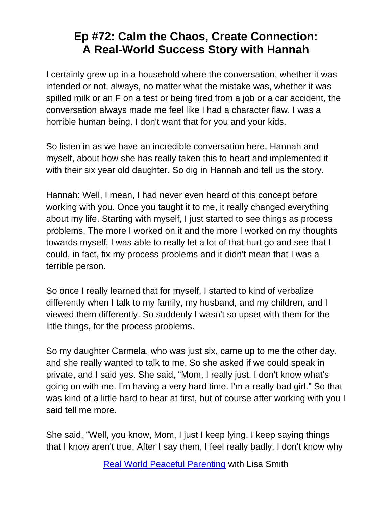I certainly grew up in a household where the conversation, whether it was intended or not, always, no matter what the mistake was, whether it was spilled milk or an F on a test or being fired from a job or a car accident, the conversation always made me feel like I had a character flaw. I was a horrible human being. I don't want that for you and your kids.

So listen in as we have an incredible conversation here, Hannah and myself, about how she has really taken this to heart and implemented it with their six year old daughter. So dig in Hannah and tell us the story.

Hannah: Well, I mean, I had never even heard of this concept before working with you. Once you taught it to me, it really changed everything about my life. Starting with myself, I just started to see things as process problems. The more I worked on it and the more I worked on my thoughts towards myself, I was able to really let a lot of that hurt go and see that I could, in fact, fix my process problems and it didn't mean that I was a terrible person.

So once I really learned that for myself, I started to kind of verbalize differently when I talk to my family, my husband, and my children, and I viewed them differently. So suddenly I wasn't so upset with them for the little things, for the process problems.

So my daughter Carmela, who was just six, came up to me the other day, and she really wanted to talk to me. So she asked if we could speak in private, and I said yes. She said, "Mom, I really just, I don't know what's going on with me. I'm having a very hard time. I'm a really bad girl." So that was kind of a little hard to hear at first, but of course after working with you I said tell me more.

She said, "Well, you know, Mom, I just I keep lying. I keep saying things that I know aren't true. After I say them, I feel really badly. I don't know why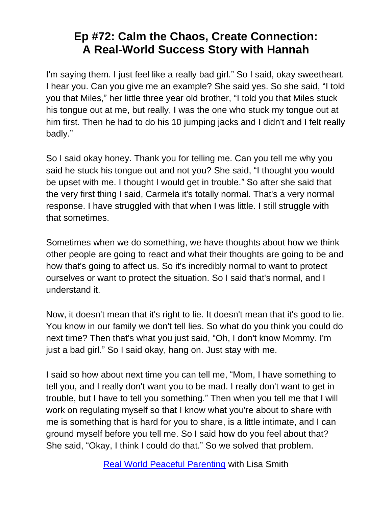I'm saying them. I just feel like a really bad girl." So I said, okay sweetheart. I hear you. Can you give me an example? She said yes. So she said, "I told you that Miles," her little three year old brother, "I told you that Miles stuck his tongue out at me, but really, I was the one who stuck my tongue out at him first. Then he had to do his 10 jumping jacks and I didn't and I felt really badly."

So I said okay honey. Thank you for telling me. Can you tell me why you said he stuck his tongue out and not you? She said, "I thought you would be upset with me. I thought I would get in trouble." So after she said that the very first thing I said, Carmela it's totally normal. That's a very normal response. I have struggled with that when I was little. I still struggle with that sometimes.

Sometimes when we do something, we have thoughts about how we think other people are going to react and what their thoughts are going to be and how that's going to affect us. So it's incredibly normal to want to protect ourselves or want to protect the situation. So I said that's normal, and I understand it.

Now, it doesn't mean that it's right to lie. It doesn't mean that it's good to lie. You know in our family we don't tell lies. So what do you think you could do next time? Then that's what you just said, "Oh, I don't know Mommy. I'm just a bad girl." So I said okay, hang on. Just stay with me.

I said so how about next time you can tell me, "Mom, I have something to tell you, and I really don't want you to be mad. I really don't want to get in trouble, but I have to tell you something." Then when you tell me that I will work on regulating myself so that I know what you're about to share with me is something that is hard for you to share, is a little intimate, and I can ground myself before you tell me. So I said how do you feel about that? She said, "Okay, I think I could do that." So we solved that problem.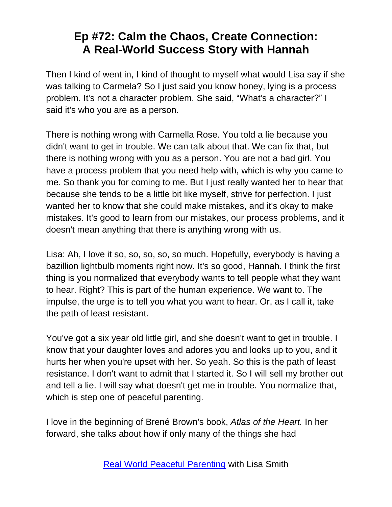Then I kind of went in, I kind of thought to myself what would Lisa say if she was talking to Carmela? So I just said you know honey, lying is a process problem. It's not a character problem. She said, "What's a character?" I said it's who you are as a person.

There is nothing wrong with Carmella Rose. You told a lie because you didn't want to get in trouble. We can talk about that. We can fix that, but there is nothing wrong with you as a person. You are not a bad girl. You have a process problem that you need help with, which is why you came to me. So thank you for coming to me. But I just really wanted her to hear that because she tends to be a little bit like myself, strive for perfection. I just wanted her to know that she could make mistakes, and it's okay to make mistakes. It's good to learn from our mistakes, our process problems, and it doesn't mean anything that there is anything wrong with us.

Lisa: Ah, I love it so, so, so, so, so much. Hopefully, everybody is having a bazillion lightbulb moments right now. It's so good, Hannah. I think the first thing is you normalized that everybody wants to tell people what they want to hear. Right? This is part of the human experience. We want to. The impulse, the urge is to tell you what you want to hear. Or, as I call it, take the path of least resistant.

You've got a six year old little girl, and she doesn't want to get in trouble. I know that your daughter loves and adores you and looks up to you, and it hurts her when you're upset with her. So yeah. So this is the path of least resistance. I don't want to admit that I started it. So I will sell my brother out and tell a lie. I will say what doesn't get me in trouble. You normalize that, which is step one of peaceful parenting.

I love in the beginning of Brené Brown's book, *Atlas of the Heart.* In her forward, she talks about how if only many of the things she had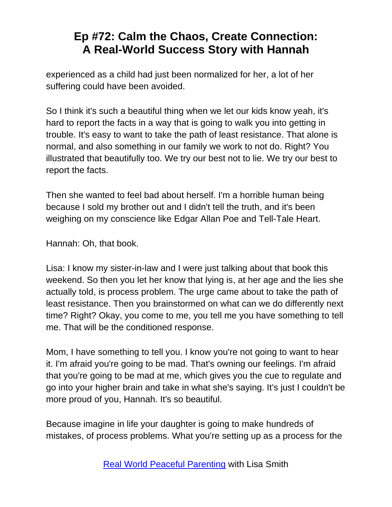experienced as a child had just been normalized for her, a lot of her suffering could have been avoided.

So I think it's such a beautiful thing when we let our kids know yeah, it's hard to report the facts in a way that is going to walk you into getting in trouble. It's easy to want to take the path of least resistance. That alone is normal, and also something in our family we work to not do. Right? You illustrated that beautifully too. We try our best not to lie. We try our best to report the facts.

Then she wanted to feel bad about herself. I'm a horrible human being because I sold my brother out and I didn't tell the truth, and it's been weighing on my conscience like Edgar Allan Poe and Tell-Tale Heart.

Hannah: Oh, that book.

Lisa: I know my sister-in-law and I were just talking about that book this weekend. So then you let her know that lying is, at her age and the lies she actually told, is process problem. The urge came about to take the path of least resistance. Then you brainstormed on what can we do differently next time? Right? Okay, you come to me, you tell me you have something to tell me. That will be the conditioned response.

Mom, I have something to tell you. I know you're not going to want to hear it. I'm afraid you're going to be mad. That's owning our feelings. I'm afraid that you're going to be mad at me, which gives you the cue to regulate and go into your higher brain and take in what she's saying. It's just I couldn't be more proud of you, Hannah. It's so beautiful.

Because imagine in life your daughter is going to make hundreds of mistakes, of process problems. What you're setting up as a process for the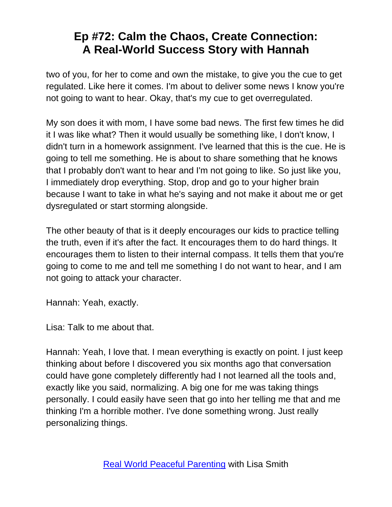two of you, for her to come and own the mistake, to give you the cue to get regulated. Like here it comes. I'm about to deliver some news I know you're not going to want to hear. Okay, that's my cue to get overregulated.

My son does it with mom, I have some bad news. The first few times he did it I was like what? Then it would usually be something like, I don't know, I didn't turn in a homework assignment. I've learned that this is the cue. He is going to tell me something. He is about to share something that he knows that I probably don't want to hear and I'm not going to like. So just like you, I immediately drop everything. Stop, drop and go to your higher brain because I want to take in what he's saying and not make it about me or get dysregulated or start storming alongside.

The other beauty of that is it deeply encourages our kids to practice telling the truth, even if it's after the fact. It encourages them to do hard things. It encourages them to listen to their internal compass. It tells them that you're going to come to me and tell me something I do not want to hear, and I am not going to attack your character.

Hannah: Yeah, exactly.

Lisa: Talk to me about that.

Hannah: Yeah, I love that. I mean everything is exactly on point. I just keep thinking about before I discovered you six months ago that conversation could have gone completely differently had I not learned all the tools and, exactly like you said, normalizing. A big one for me was taking things personally. I could easily have seen that go into her telling me that and me thinking I'm a horrible mother. I've done something wrong. Just really personalizing things.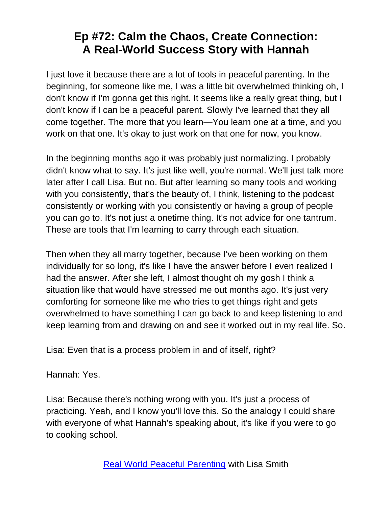I just love it because there are a lot of tools in peaceful parenting. In the beginning, for someone like me, I was a little bit overwhelmed thinking oh, I don't know if I'm gonna get this right. It seems like a really great thing, but I don't know if I can be a peaceful parent. Slowly I've learned that they all come together. The more that you learn—You learn one at a time, and you work on that one. It's okay to just work on that one for now, you know.

In the beginning months ago it was probably just normalizing. I probably didn't know what to say. It's just like well, you're normal. We'll just talk more later after I call Lisa. But no. But after learning so many tools and working with you consistently, that's the beauty of, I think, listening to the podcast consistently or working with you consistently or having a group of people you can go to. It's not just a onetime thing. It's not advice for one tantrum. These are tools that I'm learning to carry through each situation.

Then when they all marry together, because I've been working on them individually for so long, it's like I have the answer before I even realized I had the answer. After she left, I almost thought oh my gosh I think a situation like that would have stressed me out months ago. It's just very comforting for someone like me who tries to get things right and gets overwhelmed to have something I can go back to and keep listening to and keep learning from and drawing on and see it worked out in my real life. So.

Lisa: Even that is a process problem in and of itself, right?

Hannah: Yes.

Lisa: Because there's nothing wrong with you. It's just a process of practicing. Yeah, and I know you'll love this. So the analogy I could share with everyone of what Hannah's speaking about, it's like if you were to go to cooking school.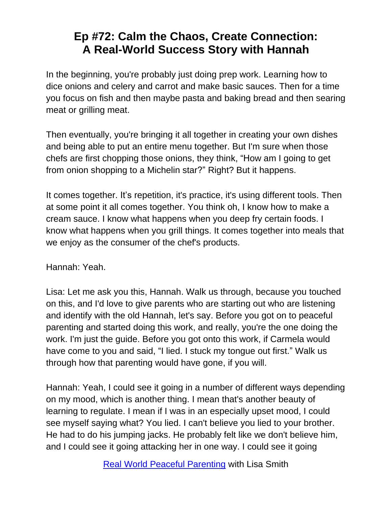In the beginning, you're probably just doing prep work. Learning how to dice onions and celery and carrot and make basic sauces. Then for a time you focus on fish and then maybe pasta and baking bread and then searing meat or grilling meat.

Then eventually, you're bringing it all together in creating your own dishes and being able to put an entire menu together. But I'm sure when those chefs are first chopping those onions, they think, "How am I going to get from onion shopping to a Michelin star?" Right? But it happens.

It comes together. It's repetition, it's practice, it's using different tools. Then at some point it all comes together. You think oh, I know how to make a cream sauce. I know what happens when you deep fry certain foods. I know what happens when you grill things. It comes together into meals that we enjoy as the consumer of the chef's products.

Hannah: Yeah.

Lisa: Let me ask you this, Hannah. Walk us through, because you touched on this, and I'd love to give parents who are starting out who are listening and identify with the old Hannah, let's say. Before you got on to peaceful parenting and started doing this work, and really, you're the one doing the work. I'm just the guide. Before you got onto this work, if Carmela would have come to you and said, "I lied. I stuck my tongue out first." Walk us through how that parenting would have gone, if you will.

Hannah: Yeah, I could see it going in a number of different ways depending on my mood, which is another thing. I mean that's another beauty of learning to regulate. I mean if I was in an especially upset mood, I could see myself saying what? You lied. I can't believe you lied to your brother. He had to do his jumping jacks. He probably felt like we don't believe him, and I could see it going attacking her in one way. I could see it going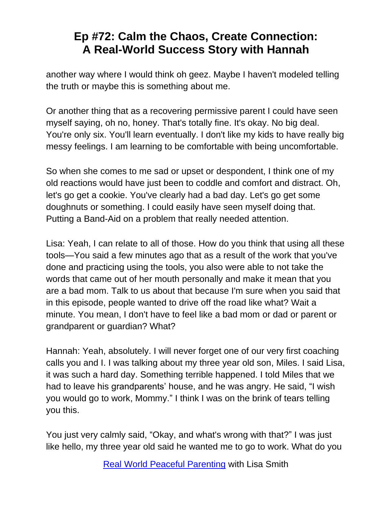another way where I would think oh geez. Maybe I haven't modeled telling the truth or maybe this is something about me.

Or another thing that as a recovering permissive parent I could have seen myself saying, oh no, honey. That's totally fine. It's okay. No big deal. You're only six. You'll learn eventually. I don't like my kids to have really big messy feelings. I am learning to be comfortable with being uncomfortable.

So when she comes to me sad or upset or despondent, I think one of my old reactions would have just been to coddle and comfort and distract. Oh, let's go get a cookie. You've clearly had a bad day. Let's go get some doughnuts or something. I could easily have seen myself doing that. Putting a Band-Aid on a problem that really needed attention.

Lisa: Yeah, I can relate to all of those. How do you think that using all these tools—You said a few minutes ago that as a result of the work that you've done and practicing using the tools, you also were able to not take the words that came out of her mouth personally and make it mean that you are a bad mom. Talk to us about that because I'm sure when you said that in this episode, people wanted to drive off the road like what? Wait a minute. You mean, I don't have to feel like a bad mom or dad or parent or grandparent or guardian? What?

Hannah: Yeah, absolutely. I will never forget one of our very first coaching calls you and I. I was talking about my three year old son, Miles. I said Lisa, it was such a hard day. Something terrible happened. I told Miles that we had to leave his grandparents' house, and he was angry. He said, "I wish you would go to work, Mommy." I think I was on the brink of tears telling you this.

You just very calmly said, "Okay, and what's wrong with that?" I was just like hello, my three year old said he wanted me to go to work. What do you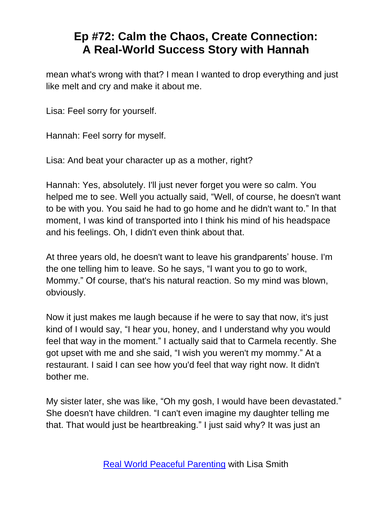mean what's wrong with that? I mean I wanted to drop everything and just like melt and cry and make it about me.

Lisa: Feel sorry for yourself.

Hannah: Feel sorry for myself.

Lisa: And beat your character up as a mother, right?

Hannah: Yes, absolutely. I'll just never forget you were so calm. You helped me to see. Well you actually said, "Well, of course, he doesn't want to be with you. You said he had to go home and he didn't want to." In that moment, I was kind of transported into I think his mind of his headspace and his feelings. Oh, I didn't even think about that.

At three years old, he doesn't want to leave his grandparents' house. I'm the one telling him to leave. So he says, "I want you to go to work, Mommy." Of course, that's his natural reaction. So my mind was blown, obviously.

Now it just makes me laugh because if he were to say that now, it's just kind of I would say, "I hear you, honey, and I understand why you would feel that way in the moment." I actually said that to Carmela recently. She got upset with me and she said, "I wish you weren't my mommy." At a restaurant. I said I can see how you'd feel that way right now. It didn't bother me.

My sister later, she was like, "Oh my gosh, I would have been devastated." She doesn't have children. "I can't even imagine my daughter telling me that. That would just be heartbreaking." I just said why? It was just an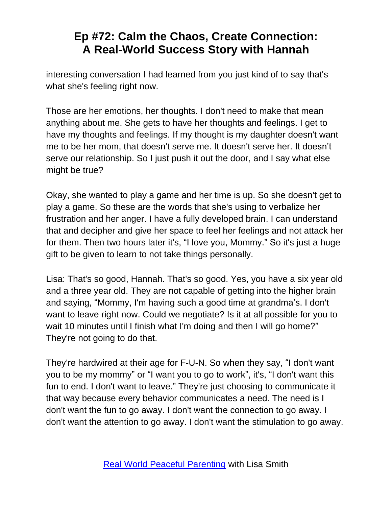interesting conversation I had learned from you just kind of to say that's what she's feeling right now.

Those are her emotions, her thoughts. I don't need to make that mean anything about me. She gets to have her thoughts and feelings. I get to have my thoughts and feelings. If my thought is my daughter doesn't want me to be her mom, that doesn't serve me. It doesn't serve her. It doesn't serve our relationship. So I just push it out the door, and I say what else might be true?

Okay, she wanted to play a game and her time is up. So she doesn't get to play a game. So these are the words that she's using to verbalize her frustration and her anger. I have a fully developed brain. I can understand that and decipher and give her space to feel her feelings and not attack her for them. Then two hours later it's, "I love you, Mommy." So it's just a huge gift to be given to learn to not take things personally.

Lisa: That's so good, Hannah. That's so good. Yes, you have a six year old and a three year old. They are not capable of getting into the higher brain and saying, "Mommy, I'm having such a good time at grandma's. I don't want to leave right now. Could we negotiate? Is it at all possible for you to wait 10 minutes until I finish what I'm doing and then I will go home?" They're not going to do that.

They're hardwired at their age for F-U-N. So when they say, "I don't want you to be my mommy" or "I want you to go to work", it's, "I don't want this fun to end. I don't want to leave." They're just choosing to communicate it that way because every behavior communicates a need. The need is I don't want the fun to go away. I don't want the connection to go away. I don't want the attention to go away. I don't want the stimulation to go away.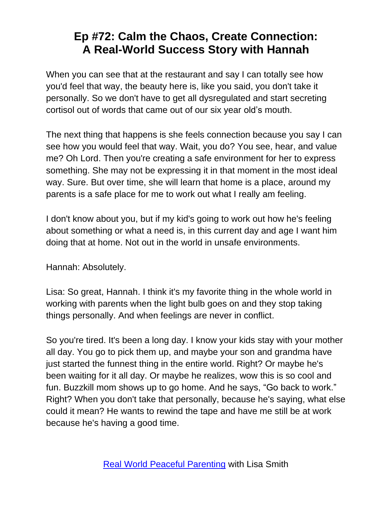When you can see that at the restaurant and say I can totally see how you'd feel that way, the beauty here is, like you said, you don't take it personally. So we don't have to get all dysregulated and start secreting cortisol out of words that came out of our six year old's mouth.

The next thing that happens is she feels connection because you say I can see how you would feel that way. Wait, you do? You see, hear, and value me? Oh Lord. Then you're creating a safe environment for her to express something. She may not be expressing it in that moment in the most ideal way. Sure. But over time, she will learn that home is a place, around my parents is a safe place for me to work out what I really am feeling.

I don't know about you, but if my kid's going to work out how he's feeling about something or what a need is, in this current day and age I want him doing that at home. Not out in the world in unsafe environments.

Hannah: Absolutely.

Lisa: So great, Hannah. I think it's my favorite thing in the whole world in working with parents when the light bulb goes on and they stop taking things personally. And when feelings are never in conflict.

So you're tired. It's been a long day. I know your kids stay with your mother all day. You go to pick them up, and maybe your son and grandma have just started the funnest thing in the entire world. Right? Or maybe he's been waiting for it all day. Or maybe he realizes, wow this is so cool and fun. Buzzkill mom shows up to go home. And he says, "Go back to work." Right? When you don't take that personally, because he's saying, what else could it mean? He wants to rewind the tape and have me still be at work because he's having a good time.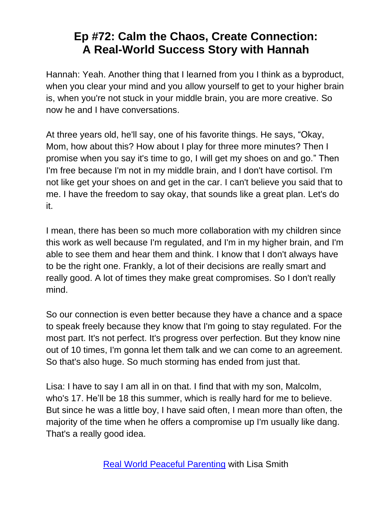Hannah: Yeah. Another thing that I learned from you I think as a byproduct, when you clear your mind and you allow yourself to get to your higher brain is, when you're not stuck in your middle brain, you are more creative. So now he and I have conversations.

At three years old, he'll say, one of his favorite things. He says, "Okay, Mom, how about this? How about I play for three more minutes? Then I promise when you say it's time to go, I will get my shoes on and go." Then I'm free because I'm not in my middle brain, and I don't have cortisol. I'm not like get your shoes on and get in the car. I can't believe you said that to me. I have the freedom to say okay, that sounds like a great plan. Let's do it.

I mean, there has been so much more collaboration with my children since this work as well because I'm regulated, and I'm in my higher brain, and I'm able to see them and hear them and think. I know that I don't always have to be the right one. Frankly, a lot of their decisions are really smart and really good. A lot of times they make great compromises. So I don't really mind.

So our connection is even better because they have a chance and a space to speak freely because they know that I'm going to stay regulated. For the most part. It's not perfect. It's progress over perfection. But they know nine out of 10 times, I'm gonna let them talk and we can come to an agreement. So that's also huge. So much storming has ended from just that.

Lisa: I have to say I am all in on that. I find that with my son, Malcolm, who's 17. He'll be 18 this summer, which is really hard for me to believe. But since he was a little boy, I have said often, I mean more than often, the majority of the time when he offers a compromise up I'm usually like dang. That's a really good idea.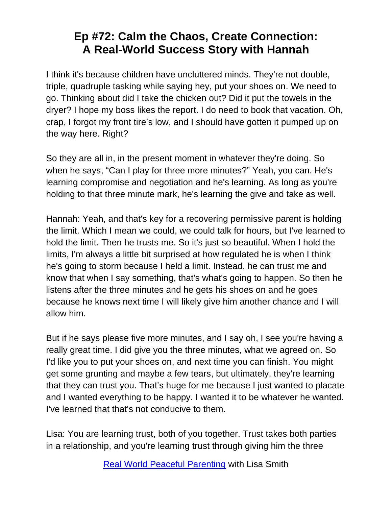I think it's because children have uncluttered minds. They're not double, triple, quadruple tasking while saying hey, put your shoes on. We need to go. Thinking about did I take the chicken out? Did it put the towels in the dryer? I hope my boss likes the report. I do need to book that vacation. Oh, crap, I forgot my front tire's low, and I should have gotten it pumped up on the way here. Right?

So they are all in, in the present moment in whatever they're doing. So when he says, "Can I play for three more minutes?" Yeah, you can. He's learning compromise and negotiation and he's learning. As long as you're holding to that three minute mark, he's learning the give and take as well.

Hannah: Yeah, and that's key for a recovering permissive parent is holding the limit. Which I mean we could, we could talk for hours, but I've learned to hold the limit. Then he trusts me. So it's just so beautiful. When I hold the limits, I'm always a little bit surprised at how regulated he is when I think he's going to storm because I held a limit. Instead, he can trust me and know that when I say something, that's what's going to happen. So then he listens after the three minutes and he gets his shoes on and he goes because he knows next time I will likely give him another chance and I will allow him.

But if he says please five more minutes, and I say oh, I see you're having a really great time. I did give you the three minutes, what we agreed on. So I'd like you to put your shoes on, and next time you can finish. You might get some grunting and maybe a few tears, but ultimately, they're learning that they can trust you. That's huge for me because I just wanted to placate and I wanted everything to be happy. I wanted it to be whatever he wanted. I've learned that that's not conducive to them.

Lisa: You are learning trust, both of you together. Trust takes both parties in a relationship, and you're learning trust through giving him the three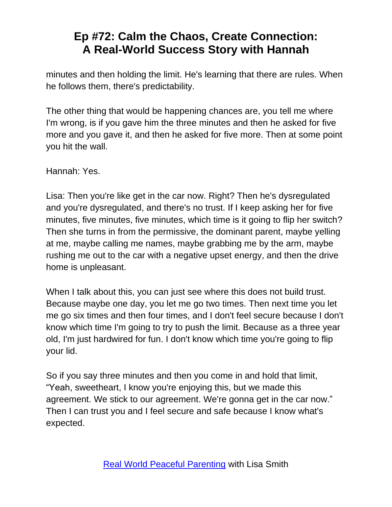minutes and then holding the limit. He's learning that there are rules. When he follows them, there's predictability.

The other thing that would be happening chances are, you tell me where I'm wrong, is if you gave him the three minutes and then he asked for five more and you gave it, and then he asked for five more. Then at some point you hit the wall.

Hannah: Yes.

Lisa: Then you're like get in the car now. Right? Then he's dysregulated and you're dysregulated, and there's no trust. If I keep asking her for five minutes, five minutes, five minutes, which time is it going to flip her switch? Then she turns in from the permissive, the dominant parent, maybe yelling at me, maybe calling me names, maybe grabbing me by the arm, maybe rushing me out to the car with a negative upset energy, and then the drive home is unpleasant.

When I talk about this, you can just see where this does not build trust. Because maybe one day, you let me go two times. Then next time you let me go six times and then four times, and I don't feel secure because I don't know which time I'm going to try to push the limit. Because as a three year old, I'm just hardwired for fun. I don't know which time you're going to flip your lid.

So if you say three minutes and then you come in and hold that limit, "Yeah, sweetheart, I know you're enjoying this, but we made this agreement. We stick to our agreement. We're gonna get in the car now." Then I can trust you and I feel secure and safe because I know what's expected.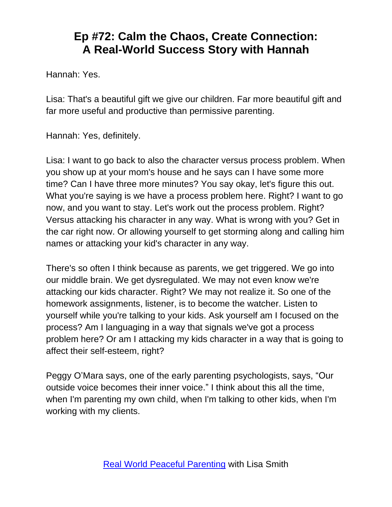Hannah: Yes.

Lisa: That's a beautiful gift we give our children. Far more beautiful gift and far more useful and productive than permissive parenting.

Hannah: Yes, definitely.

Lisa: I want to go back to also the character versus process problem. When you show up at your mom's house and he says can I have some more time? Can I have three more minutes? You say okay, let's figure this out. What you're saying is we have a process problem here. Right? I want to go now, and you want to stay. Let's work out the process problem. Right? Versus attacking his character in any way. What is wrong with you? Get in the car right now. Or allowing yourself to get storming along and calling him names or attacking your kid's character in any way.

There's so often I think because as parents, we get triggered. We go into our middle brain. We get dysregulated. We may not even know we're attacking our kids character. Right? We may not realize it. So one of the homework assignments, listener, is to become the watcher. Listen to yourself while you're talking to your kids. Ask yourself am I focused on the process? Am I languaging in a way that signals we've got a process problem here? Or am I attacking my kids character in a way that is going to affect their self-esteem, right?

Peggy O'Mara says, one of the early parenting psychologists, says, "Our outside voice becomes their inner voice." I think about this all the time, when I'm parenting my own child, when I'm talking to other kids, when I'm working with my clients.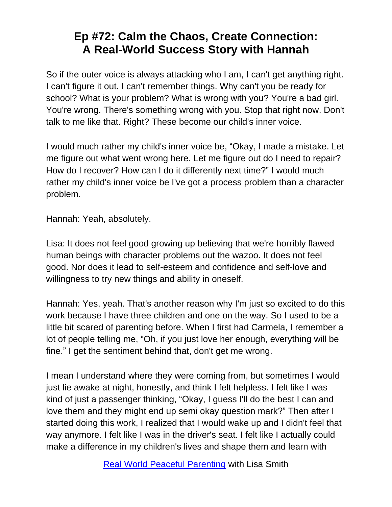So if the outer voice is always attacking who I am, I can't get anything right. I can't figure it out. I can't remember things. Why can't you be ready for school? What is your problem? What is wrong with you? You're a bad girl. You're wrong. There's something wrong with you. Stop that right now. Don't talk to me like that. Right? These become our child's inner voice.

I would much rather my child's inner voice be, "Okay, I made a mistake. Let me figure out what went wrong here. Let me figure out do I need to repair? How do I recover? How can I do it differently next time?" I would much rather my child's inner voice be I've got a process problem than a character problem.

Hannah: Yeah, absolutely.

Lisa: It does not feel good growing up believing that we're horribly flawed human beings with character problems out the wazoo. It does not feel good. Nor does it lead to self-esteem and confidence and self-love and willingness to try new things and ability in oneself.

Hannah: Yes, yeah. That's another reason why I'm just so excited to do this work because I have three children and one on the way. So I used to be a little bit scared of parenting before. When I first had Carmela, I remember a lot of people telling me, "Oh, if you just love her enough, everything will be fine." I get the sentiment behind that, don't get me wrong.

I mean I understand where they were coming from, but sometimes I would just lie awake at night, honestly, and think I felt helpless. I felt like I was kind of just a passenger thinking, "Okay, I guess I'll do the best I can and love them and they might end up semi okay question mark?" Then after I started doing this work, I realized that I would wake up and I didn't feel that way anymore. I felt like I was in the driver's seat. I felt like I actually could make a difference in my children's lives and shape them and learn with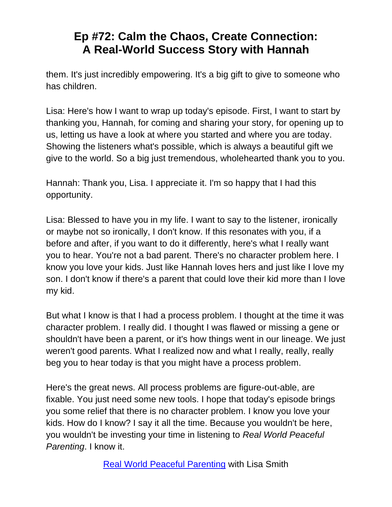them. It's just incredibly empowering. It's a big gift to give to someone who has children.

Lisa: Here's how I want to wrap up today's episode. First, I want to start by thanking you, Hannah, for coming and sharing your story, for opening up to us, letting us have a look at where you started and where you are today. Showing the listeners what's possible, which is always a beautiful gift we give to the world. So a big just tremendous, wholehearted thank you to you.

Hannah: Thank you, Lisa. I appreciate it. I'm so happy that I had this opportunity.

Lisa: Blessed to have you in my life. I want to say to the listener, ironically or maybe not so ironically, I don't know. If this resonates with you, if a before and after, if you want to do it differently, here's what I really want you to hear. You're not a bad parent. There's no character problem here. I know you love your kids. Just like Hannah loves hers and just like I love my son. I don't know if there's a parent that could love their kid more than I love my kid.

But what I know is that I had a process problem. I thought at the time it was character problem. I really did. I thought I was flawed or missing a gene or shouldn't have been a parent, or it's how things went in our lineage. We just weren't good parents. What I realized now and what I really, really, really beg you to hear today is that you might have a process problem.

Here's the great news. All process problems are figure-out-able, are fixable. You just need some new tools. I hope that today's episode brings you some relief that there is no character problem. I know you love your kids. How do I know? I say it all the time. Because you wouldn't be here, you wouldn't be investing your time in listening to *Real World Peaceful Parenting*. I know it.